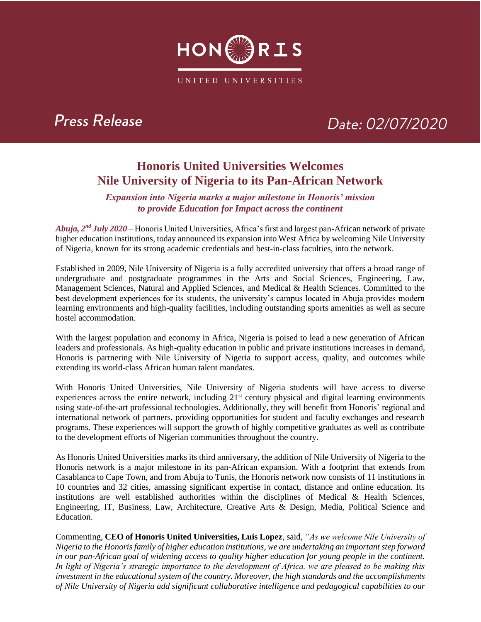

### **Press Release**

# Date: 02/07/2020

### **Honoris United Universities Welcomes Nile University of Nigeria to its Pan-African Network**

*Expansion into Nigeria marks a major milestone in Honoris' mission to provide Education for Impact across the continent*

Abuja, 2<sup>nd</sup> July 2020 – Honoris United Universities, Africa's first and largest pan-African network of private higher education institutions, today announced its expansion into West Africa by welcoming Nile University of Nigeria, known for its strong academic credentials and best-in-class faculties, into the network.

Established in 2009, Nile University of Nigeria is a fully accredited university that offers a broad range of undergraduate and postgraduate programmes in the Arts and Social Sciences, Engineering, Law, Management Sciences, Natural and Applied Sciences, and Medical & Health Sciences. Committed to the best development experiences for its students, the university's campus located in Abuja provides modern learning environments and high-quality facilities, including outstanding sports amenities as well as secure hostel accommodation.

With the largest population and economy in Africa, Nigeria is poised to lead a new generation of African leaders and professionals. As high-quality education in public and private institutions increases in demand, Honoris is partnering with Nile University of Nigeria to support access, quality, and outcomes while extending its world-class African human talent mandates.

With Honoris United Universities, Nile University of Nigeria students will have access to diverse experiences across the entire network, including 21<sup>st</sup> century physical and digital learning environments using state-of-the-art professional technologies. Additionally, they will benefit from Honoris' regional and international network of partners, providing opportunities for student and faculty exchanges and research programs. These experiences will support the growth of highly competitive graduates as well as contribute to the development efforts of Nigerian communities throughout the country.

As Honoris United Universities marks its third anniversary, the addition of Nile University of Nigeria to the Honoris network is a major milestone in its pan-African expansion. With a footprint that extends from Casablanca to Cape Town, and from Abuja to Tunis, the Honoris network now consists of 11 institutions in 10 countries and 32 cities, amassing significant expertise in contact, distance and online education. Its institutions are well established authorities within the disciplines of Medical & Health Sciences, Engineering, IT, Business, Law, Architecture, Creative Arts & Design, Media, Political Science and Education.

Commenting, **CEO of Honoris United Universities, Luis Lopez**, said, *"As we welcome Nile University of Nigeria to the Honoris family of higher education institutions, we are undertaking an important step forward in our pan-African goal of widening access to quality higher education for young people in the continent. In light of Nigeria's strategic importance to the development of Africa, we are pleased to be making this investment in the educational system of the country. Moreover, the high standards and the accomplishments of Nile University of Nigeria add significant collaborative intelligence and pedagogical capabilities to our*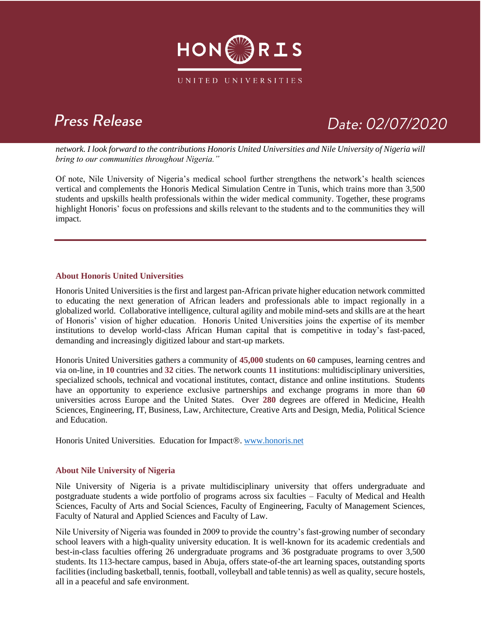

## **Press Release**

# Date: 02/07/2020

*network. I look forward to the contributions Honoris United Universities and Nile University of Nigeria will bring to our communities throughout Nigeria."*

Of note, Nile University of Nigeria's medical school further strengthens the network's health sciences vertical and complements the Honoris Medical Simulation Centre in Tunis, which trains more than 3,500 students and upskills health professionals within the wider medical community. Together, these programs highlight Honoris' focus on professions and skills relevant to the students and to the communities they will impact.

#### **About Honoris United Universities**

Honoris United Universities is the first and largest pan-African private higher education network committed to educating the next generation of African leaders and professionals able to impact regionally in a globalized world. Collaborative intelligence, cultural agility and mobile mind-sets and skills are at the heart of Honoris' vision of higher education. Honoris United Universities joins the expertise of its member institutions to develop world-class African Human capital that is competitive in today's fast-paced, demanding and increasingly digitized labour and start-up markets.

Honoris United Universities gathers a community of **45,000** students on **60** campuses, learning centres and via on-line, in **10** countries and **32** cities. The network counts **11** institutions: multidisciplinary universities, specialized schools, technical and vocational institutes, contact, distance and online institutions. Students have an opportunity to experience exclusive partnerships and exchange programs in more than **60**  universities across Europe and the United States. Over **280** degrees are offered in Medicine, Health Sciences, Engineering, IT, Business, Law, Architecture, Creative Arts and Design, Media, Political Science and Education.

Honoris United Universities. Education for Impact®. [www.honoris.net](http://www.honoris.net/)

#### **About Nile University of Nigeria**

Nile University of Nigeria is a private multidisciplinary university that offers undergraduate and postgraduate students a wide portfolio of programs across six faculties – Faculty of Medical and Health Sciences, Faculty of Arts and Social Sciences, Faculty of Engineering, Faculty of Management Sciences, Faculty of Natural and Applied Sciences and Faculty of Law.

Nile University of Nigeria was founded in 2009 to provide the country's fast-growing number of secondary school leavers with a high-quality university education. It is well-known for its academic credentials and best-in-class faculties offering 26 undergraduate programs and 36 postgraduate programs to over 3,500 students. Its 113-hectare campus, based in Abuja, offers state-of-the art learning spaces, outstanding sports facilities (including basketball, tennis, football, volleyball and table tennis) as well as quality, secure hostels, all in a peaceful and safe environment.